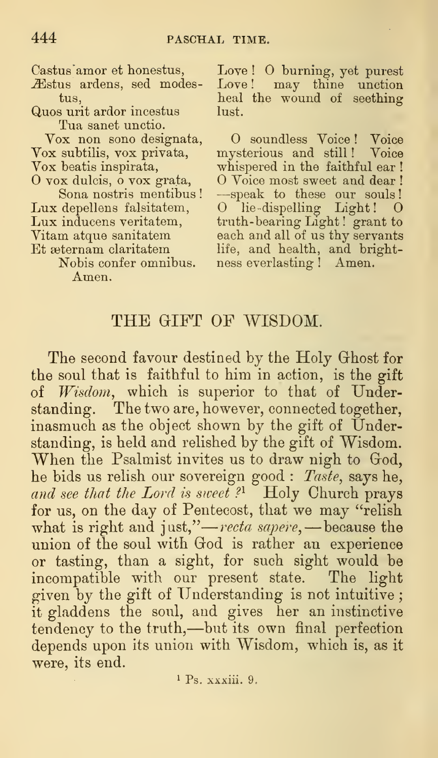Quos urit ardor incestus lust. Tua sanet unctio.

Amen.

Castus"amor et honestus, Love ! O burning, yet purest Æstus ardens, sed modes- Love! may thine unction tus, heal the wound of seething

Vox non sono designata, O soundless Voice ! Voice Vox subtilis, vox privata, mysterious and still ! Voice Vox beatis inspirata, whispered in the faithful ear !<br>O vox dulcis, o vox grata, O Voice most sweet and dear ! Sona nostris mentibus! —speak to these our souls! Lux depellens falsitatem, O lie-dispelling Light! O<br>Lux inducens veritatem, truth-bearing Light! grant to truth-bearing Light! grant to Vitam atque sanitatem each and all of us thy servants Et asternam claritatem life, and health, and bright-<br>Nobis confer omnibus. ness everlasting ! Amen. ness everlasting ! Amen.

## THE GIFT OF WISDOM.

The second favour destined by the Holy Ghost for the soul that is faithful to him in action, is the gift of Wisdom, which is superior to that of Understanding. The two are, however, connected together, inasmuch as the object shown by the gift of Understanding, is held and relished by the gift of Wisdom. When the Psalmist invites us to draw nigh to God, he bids us relish our sovereign good : Taste, says he, and see that the Lord is sweet?<sup>1</sup> Holy Church prays for us, on the day of Pentecost, that we may "relish ror us, on the day of Pentecost, that we may "refish<br>what is right and just,"—*recta sapere*,—because the union of the soul with God is rather an experience or tasting, than a sight, for such sight would be incompatible with our present state. The light given by the gift of Understanding is not intuitive ; it gladdens the soul, and gives her an instinctive tendency to the truth,—but its own final perfection depends upon its union with Wisdom, which is, as it were, its end.

 $P_s$ , xxxiii. 9.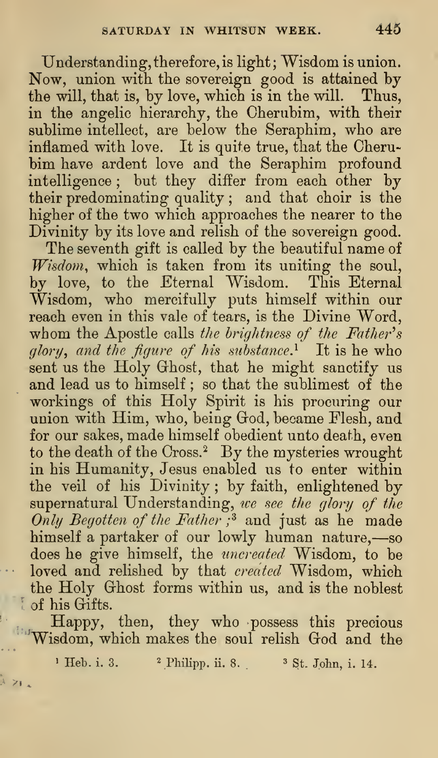Understanding, therefore, is light; Wisdom is union. Now, union with the sovereign good is attained by the will, that is, by love, which is in the will. Thus, in the angelic hierarchy, the Cherubim, with their sublime intellect, are below the Seraphim, who are inflamed with love. It is quite true, that the Cherubim have ardent love and the Seraphim profound intelligence ; but they differ from each other by their predominating quality ; and that choir is the higher of the two which approaches the nearer to the Divinity by its love and relish of the sovereign good.

The seventh gift is called by the beautiful name of Wisdom, which is taken from its uniting the soul, by love, to the Eternal Wisdom. This Eternal Wisdom, who mercifully puts himself within our reach even in this vale of tears, is the Divine Word, whom the Apostle calls the brightness of the Father's glory, and the figure of his substance.<sup>1</sup> It is he who sent us the Holy Ghost, that he might sanctify us and lead us to himself ; so that the sublimest of the workings of this Holy Spirit is his procuring our union with Him, who, being God, became Flesh, and for our sakes, made himself obedient unto death, even to the death of the Cross.<sup>2</sup> By the mysteries wrought in his Humanity, Jesus enabled us to enter within the veil of his Divinity ; by faith, enlightened by supernatural Understanding, we see the glory of the Only Begotten of the Father; $3$  and just as he made himself <sup>a</sup> partaker of our lowly human nature,—so does he give himself, the uncreated Wisdom, to be loved and relished by that *created* Wisdom, which the Holy Ghost forms within us, and is the noblest of his Gifts.

Happy, then, they who possess this precious 'Wisdom, which makes the soul relish God and the

<sup>1</sup> Heb. i. 3. <sup>2</sup> Philipp. ii. 8. <sup>3</sup> St. John, i. 14.

i zi a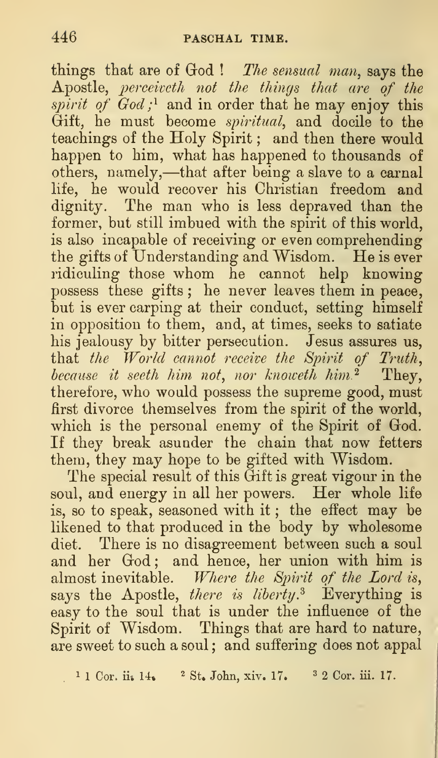things that are of  $God$  ! The sensual man, says the Apostle, perceiveth not the things that are of the spirit of  $God; ^1$  and in order that he may enjoy this Gift, he must become spiritual, and docile to the teachings of the Holy Spirit ; and then there would happen to him, what has happened to thousands of others, namely,—that after being <sup>a</sup> slave to <sup>a</sup> carnal life, he would recover his Christian freedom and dignity. The man who is less depraved than the former, but still imbued with the spirit of this world, is also incapable of receiving or even comprehending the gifts of Understanding and Wisdom. He is ever ridiculing those whom he cannot help knowing possess these gifts; he never leaves them in peace, but is ever carping at their conduct, setting himself in opposition to them, and, at times, seeks to satiate his jealousy by bitter persecution. Jesus assures us, that the World cannot receive the Spirit of Truth, because it seeth him not, nor knoweth him.<sup>2</sup> They, therefore, who would possess the supreme good, must first divorce themselves from the spirit of the world, which is the personal enemy of the Spirit of God. If they break asunder the chain that now fetters them, they may hope to be gifted with Wisdom.

The special result of this Gift is great vigour in the soul, and energy in all her powers. Her whole life is, so to speak, seasoned with it; the effect may be likened to that produced in the body by wholesome diet. There is no disagreement between such a soul and her God; and hence, her union with him is almost inevitable. Where the Spirit of the Lord is, says the Apostle, there is liberty.<sup>3</sup> Everything is easy to the soul that is under the influence of the Spirit of Wisdom. Things that are hard to nature, are sweet to such a soul ; and suffering does not appal

 $1 1$  Cor. ii. 14.  $2$  St. John, xiv. 17.  $3 2$  Cor. iii. 17.